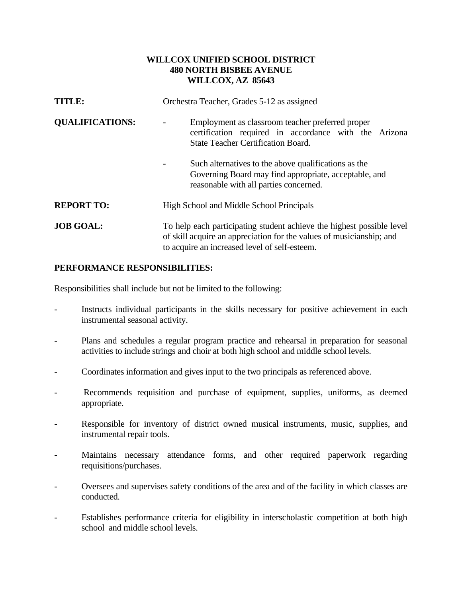## **WILLCOX UNIFIED SCHOOL DISTRICT 480 NORTH BISBEE AVENUE WILLCOX, AZ 85643**

| TITLE:                 | Orchestra Teacher, Grades 5-12 as assigned                                                                                                                                                     |
|------------------------|------------------------------------------------------------------------------------------------------------------------------------------------------------------------------------------------|
| <b>QUALIFICATIONS:</b> | Employment as classroom teacher preferred proper<br>certification required in accordance with the Arizona<br><b>State Teacher Certification Board.</b>                                         |
|                        | Such alternatives to the above qualifications as the<br>Governing Board may find appropriate, acceptable, and<br>reasonable with all parties concerned.                                        |
| <b>REPORT TO:</b>      | High School and Middle School Principals                                                                                                                                                       |
| <b>JOB GOAL:</b>       | To help each participating student achieve the highest possible level<br>of skill acquire an appreciation for the values of musicianship; and<br>to acquire an increased level of self-esteem. |

## **PERFORMANCE RESPONSIBILITIES:**

Responsibilities shall include but not be limited to the following:

- Instructs individual participants in the skills necessary for positive achievement in each instrumental seasonal activity.
- Plans and schedules a regular program practice and rehearsal in preparation for seasonal activities to include strings and choir at both high school and middle school levels.
- Coordinates information and gives input to the two principals as referenced above.
- Recommends requisition and purchase of equipment, supplies, uniforms, as deemed appropriate.
- Responsible for inventory of district owned musical instruments, music, supplies, and instrumental repair tools.
- Maintains necessary attendance forms, and other required paperwork regarding requisitions/purchases.
- Oversees and supervises safety conditions of the area and of the facility in which classes are conducted.
- Establishes performance criteria for eligibility in interscholastic competition at both high school and middle school levels.